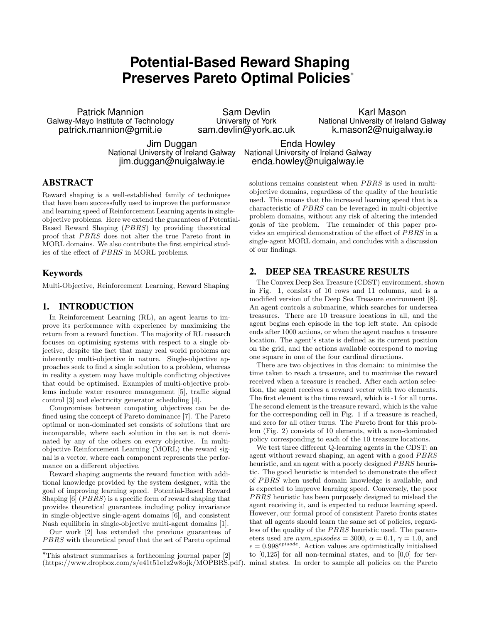# **Potential-Based Reward Shaping Preserves Pareto Optimal Policies**<sup>∗</sup>

Patrick Mannion Galway-Mayo Institute of Technology patrick.mannion@gmit.ie

Sam Devlin University of York sam.devlin@york.ac.uk

Karl Mason National University of Ireland Galway k.mason2@nuigalway.ie

Jim Duggan National University of Ireland Galway jim.duggan@nuigalway.ie

Enda Howley National University of Ireland Galway enda.howley@nuigalway.ie

# ABSTRACT

Reward shaping is a well-established family of techniques that have been successfully used to improve the performance and learning speed of Reinforcement Learning agents in singleobjective problems. Here we extend the guarantees of Potential-Based Reward Shaping (PBRS) by providing theoretical proof that PBRS does not alter the true Pareto front in MORL domains. We also contribute the first empirical studies of the effect of PBRS in MORL problems.

## Keywords

Multi-Objective, Reinforcement Learning, Reward Shaping

#### 1. INTRODUCTION

In Reinforcement Learning (RL), an agent learns to improve its performance with experience by maximizing the return from a reward function. The majority of RL research focuses on optimising systems with respect to a single objective, despite the fact that many real world problems are inherently multi-objective in nature. Single-objective approaches seek to find a single solution to a problem, whereas in reality a system may have multiple conflicting objectives that could be optimised. Examples of multi-objective problems include water resource management [5], traffic signal control [3] and electricity generator scheduling [4].

Compromises between competing objectives can be defined using the concept of Pareto dominance [7]. The Pareto optimal or non-dominated set consists of solutions that are incomparable, where each solution in the set is not dominated by any of the others on every objective. In multiobjective Reinforcement Learning (MORL) the reward signal is a vector, where each component represents the performance on a different objective.

Reward shaping augments the reward function with additional knowledge provided by the system designer, with the goal of improving learning speed. Potential-Based Reward Shaping  $[6]$  (*PBRS*) is a specific form of reward shaping that provides theoretical guarantees including policy invariance in single-objective single-agent domains [6], and consistent Nash equilibria in single-objective multi-agent domains [1].

Our work [2] has extended the previous guarantees of PBRS with theoretical proof that the set of Pareto optimal

solutions remains consistent when  $PBRS$  is used in multiobjective domains, regardless of the quality of the heuristic used. This means that the increased learning speed that is a characteristic of PBRS can be leveraged in multi-objective problem domains, without any risk of altering the intended goals of the problem. The remainder of this paper provides an empirical demonstration of the effect of PBRS in a single-agent MORL domain, and concludes with a discussion of our findings.

## 2. DEEP SEA TREASURE RESULTS

The Convex Deep Sea Treasure (CDST) environment, shown in Fig. 1, consists of 10 rows and 11 columns, and is a modified version of the Deep Sea Treasure environment [8]. An agent controls a submarine, which searches for undersea treasures. There are 10 treasure locations in all, and the agent begins each episode in the top left state. An episode ends after 1000 actions, or when the agent reaches a treasure location. The agent's state is defined as its current position on the grid, and the actions available correspond to moving one square in one of the four cardinal directions.

There are two objectives in this domain: to minimise the time taken to reach a treasure, and to maximise the reward received when a treasure is reached. After each action selection, the agent receives a reward vector with two elements. The first element is the time reward, which is -1 for all turns. The second element is the treasure reward, which is the value for the corresponding cell in Fig. 1 if a treasure is reached, and zero for all other turns. The Pareto front for this problem (Fig. 2) consists of 10 elements, with a non-dominated policy corresponding to each of the 10 treasure locations.

We test three different Q-learning agents in the CDST: an agent without reward shaping, an agent with a good PBRS heuristic, and an agent with a poorly designed PBRS heuristic. The good heuristic is intended to demonstrate the effect of PBRS when useful domain knowledge is available, and is expected to improve learning speed. Conversely, the poor PBRS heuristic has been purposely designed to mislead the agent receiving it, and is expected to reduce learning speed. However, our formal proof of consistent Pareto fronts states that all agents should learn the same set of policies, regardless of the quality of the *PBRS* heuristic used. The parameters used are  $num\_episodes = 3000$ ,  $\alpha = 0.1$ ,  $\gamma = 1.0$ , and  $\epsilon = 0.998^{episode}$ . Action values are optimistically initialised to  $[0,125]$  for all non-terminal states, and to  $[0,0]$  for terminal states. In order to sample all policies on the Pareto

<sup>∗</sup>This abstract summarises a forthcoming journal paper [2] (https://www.dropbox.com/s/e41t51e1z2w8ojk/MOPBRS.pdf).